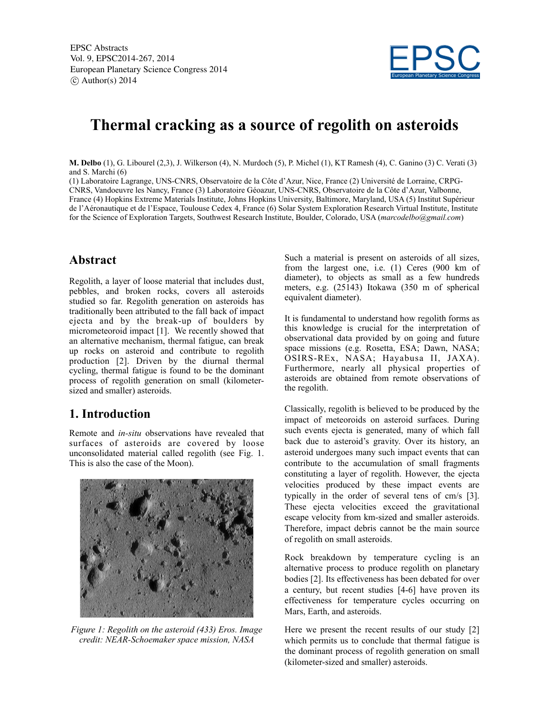EPSC Abstracts Vol. 9, EPSC2014-267, 2014 European Planetary Science Congress 2014  $\circ$  Author(s) 2014



# **Thermal cracking as a source of regolith on asteroids**

**M. Delbo** (1), G. Libourel (2,3), J. Wilkerson (4), N. Murdoch (5), P. Michel (1), KT Ramesh (4), C. Ganino (3) C. Verati (3) and S. Marchi (6)

(1) Laboratoire Lagrange, UNS-CNRS, Observatoire de la Côte d'Azur, Nice, France (2) Université de Lorraine, CRPG-CNRS, Vandoeuvre les Nancy, France (3) Laboratoire Géoazur, UNS-CNRS, Observatoire de la Côte d'Azur, Valbonne, France (4) Hopkins Extreme Materials Institute, Johns Hopkins University, Baltimore, Maryland, USA (5) Institut Supérieur de l'Aéronautique et de l'Espace, Toulouse Cedex 4, France (6) Solar System Exploration Research Virtual Institute, Institute for the Science of Exploration Targets, Southwest Research Institute, Boulder, Colorado, USA (*marcodelbo@gmail.com*)

## **Abstract**

Regolith, a layer of loose material that includes dust, pebbles, and broken rocks, covers all asteroids studied so far. Regolith generation on asteroids has traditionally been attributed to the fall back of impact ejecta and by the break-up of boulders by micrometeoroid impact [1]. We recently showed that an alternative mechanism, thermal fatigue, can break up rocks on asteroid and contribute to regolith production [2]. Driven by the diurnal thermal cycling, thermal fatigue is found to be the dominant process of regolith generation on small (kilometersized and smaller) asteroids.

## **1. Introduction**

Remote and *in-situ* observations have revealed that surfaces of asteroids are covered by loose unconsolidated material called regolith (see Fig. 1. This is also the case of the Moon).



*Figure 1: Regolith on the asteroid (433) Eros. Image credit: NEAR-Schoemaker space mission, NASA*

Such a material is present on asteroids of all sizes, from the largest one, i.e. (1) Ceres (900 km of diameter), to objects as small as a few hundreds meters, e.g. (25143) Itokawa (350 m of spherical equivalent diameter).

It is fundamental to understand how regolith forms as this knowledge is crucial for the interpretation of observational data provided by on going and future space missions (e.g. Rosetta, ESA; Dawn, NASA; OSIRS-REx, NASA; Hayabusa II, JAXA). Furthermore, nearly all physical properties of asteroids are obtained from remote observations of the regolith.

Classically, regolith is believed to be produced by the impact of meteoroids on asteroid surfaces. During such events ejecta is generated, many of which fall back due to asteroid's gravity. Over its history, an asteroid undergoes many such impact events that can contribute to the accumulation of small fragments constituting a layer of regolith. However, the ejecta velocities produced by these impact events are typically in the order of several tens of cm/s [3]. These ejecta velocities exceed the gravitational escape velocity from km-sized and smaller asteroids. Therefore, impact debris cannot be the main source of regolith on small asteroids.

Rock breakdown by temperature cycling is an alternative process to produce regolith on planetary bodies [2]. Its effectiveness has been debated for over a century, but recent studies [4-6] have proven its effectiveness for temperature cycles occurring on Mars, Earth, and asteroids.

Here we present the recent results of our study [2] which permits us to conclude that thermal fatigue is the dominant process of regolith generation on small (kilometer-sized and smaller) asteroids.